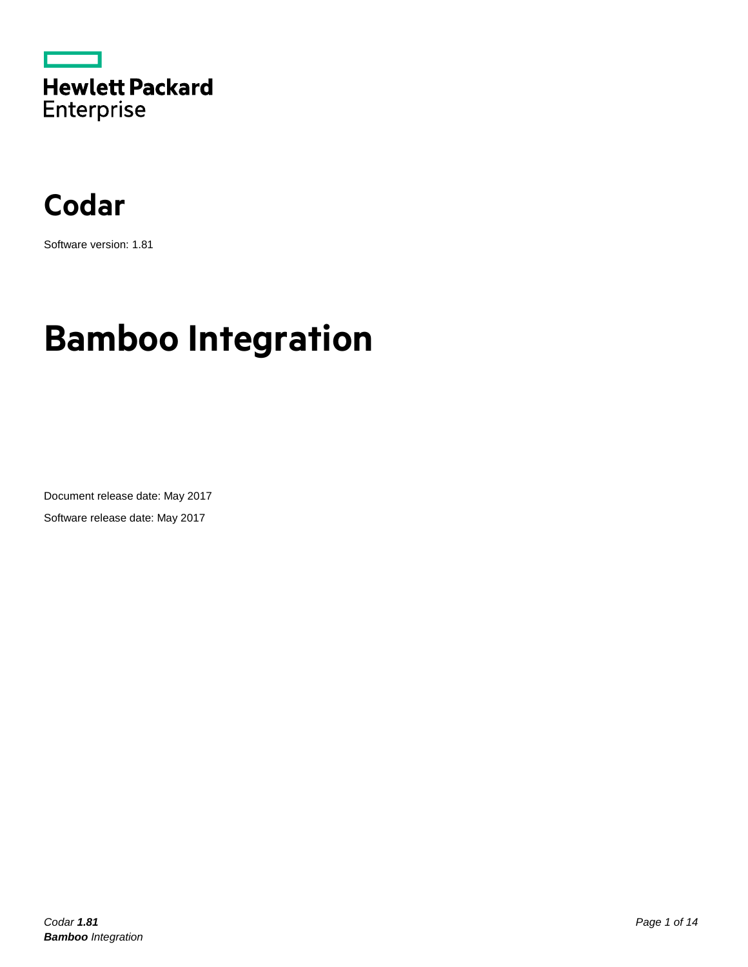



Software version: 1.81

# **Bamboo Integration**

Document release date: May 2017 Software release date: May 2017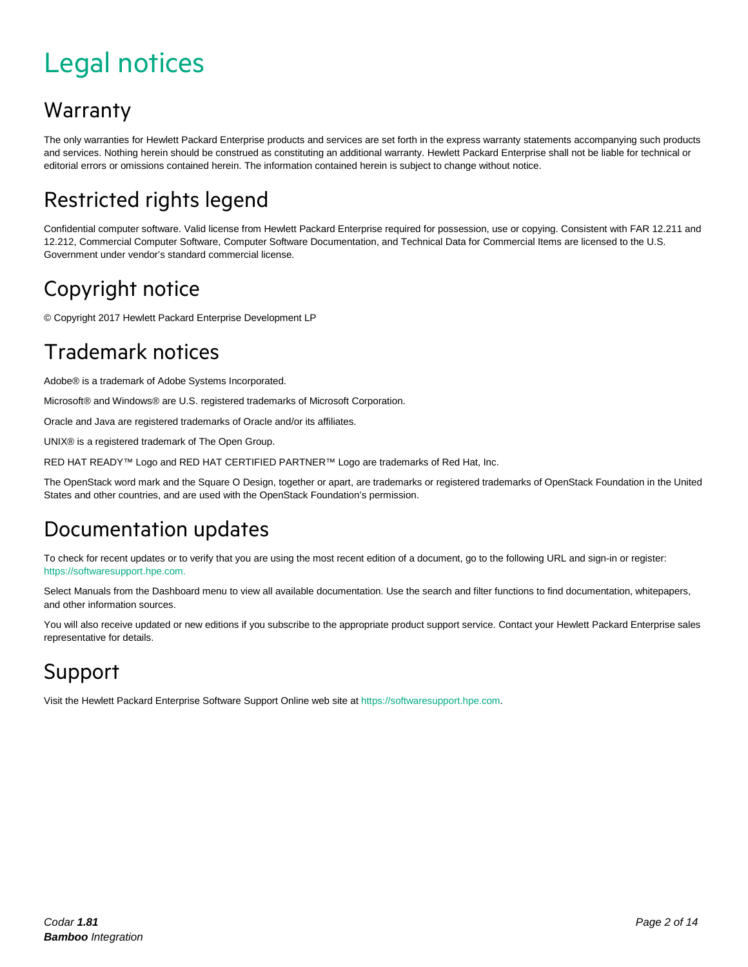# <span id="page-1-0"></span>Legal notices

#### Warranty

The only warranties for Hewlett Packard Enterprise products and services are set forth in the express warranty statements accompanying such products and services. Nothing herein should be construed as constituting an additional warranty. Hewlett Packard Enterprise shall not be liable for technical or editorial errors or omissions contained herein. The information contained herein is subject to change without notice.

### Restricted rights legend

Confidential computer software. Valid license from Hewlett Packard Enterprise required for possession, use or copying. Consistent with FAR 12.211 and 12.212, Commercial Computer Software, Computer Software Documentation, and Technical Data for Commercial Items are licensed to the U.S. Government under vendor's standard commercial license.

#### Copyright notice

© Copyright 2017 Hewlett Packard Enterprise Development LP

#### Trademark notices

Adobe® is a trademark of Adobe Systems Incorporated.

Microsoft® and Windows® are U.S. registered trademarks of Microsoft Corporation.

Oracle and Java are registered trademarks of Oracle and/or its affiliates.

UNIX® is a registered trademark of The Open Group.

RED HAT READY™ Logo and RED HAT CERTIFIED PARTNER™ Logo are trademarks of Red Hat, Inc.

The OpenStack word mark and the Square O Design, together or apart, are trademarks or registered trademarks of OpenStack Foundation in the United States and other countries, and are used with the OpenStack Foundation's permission.

#### Documentation updates

To check for recent updates or to verify that you are using the most recent edition of a document, go to the following URL and sign-in or register: [https://softwaresupport.hpe.com.](https://softwaresupport.hpe.com./)

Select Manuals from the Dashboard menu to view all available documentation. Use the search and filter functions to find documentation, whitepapers, and other information sources.

You will also receive updated or new editions if you subscribe to the appropriate product support service. Contact your Hewlett Packard Enterprise sales representative for details.

#### Support

Visit the Hewlett Packard Enterprise Software Support Online web site a[t https://softwaresupport.hpe.com.](https://softwaresupport.hpe.com/)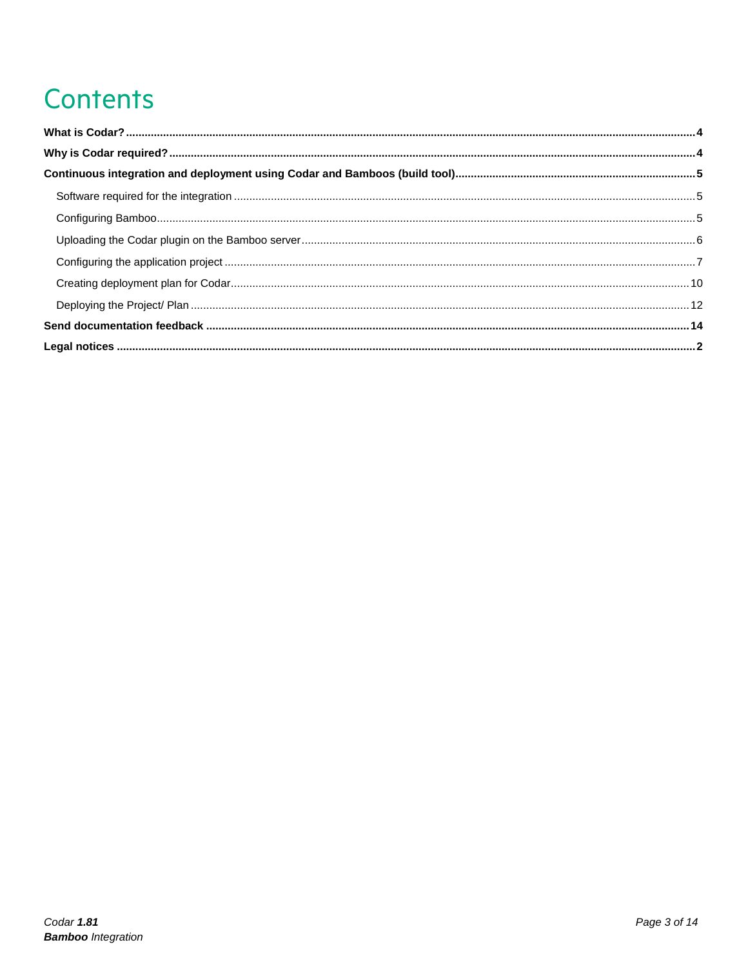# Contents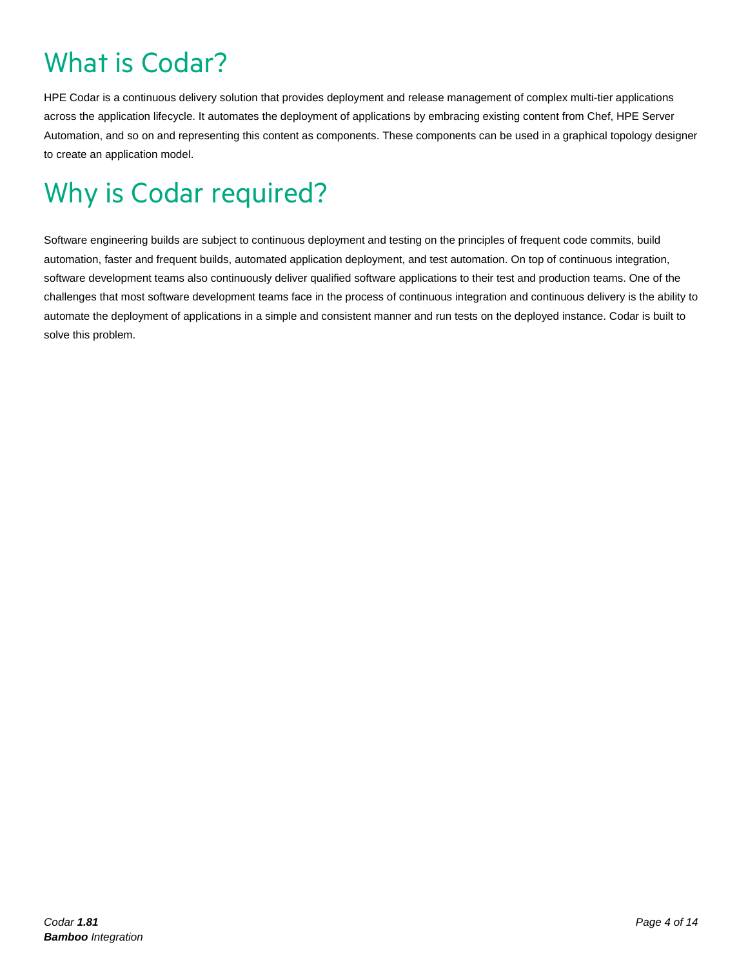# <span id="page-3-0"></span>What is Codar?

HPE Codar is a continuous delivery solution that provides deployment and release management of complex multi-tier applications across the application lifecycle. It automates the deployment of applications by embracing existing content from Chef, HPE Server Automation, and so on and representing this content as components. These components can be used in a graphical topology designer to create an application model.

# <span id="page-3-1"></span>Why is Codar required?

Software engineering builds are subject to continuous deployment and testing on the principles of frequent code commits, build automation, faster and frequent builds, automated application deployment, and test automation. On top of continuous integration, software development teams also continuously deliver qualified software applications to their test and production teams. One of the challenges that most software development teams face in the process of continuous integration and continuous delivery is the ability to automate the deployment of applications in a simple and consistent manner and run tests on the deployed instance. Codar is built to solve this problem.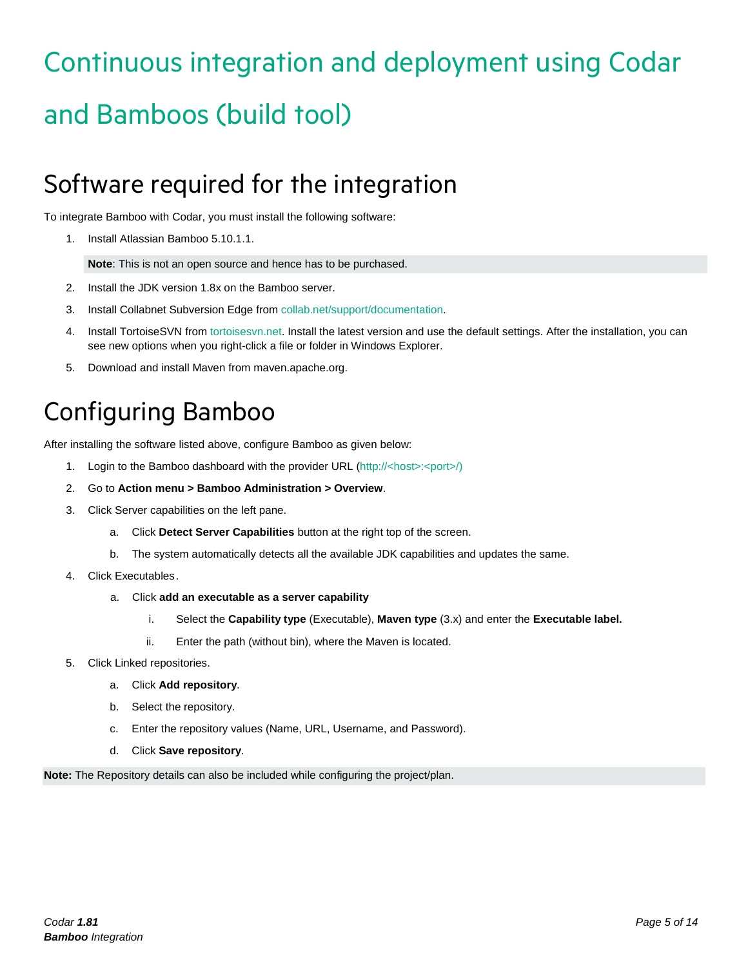# <span id="page-4-0"></span>Continuous integration and deployment using Codar and Bamboos (build tool)

### <span id="page-4-1"></span>Software required for the integration

To integrate Bamboo with Codar, you must install the following software:

1. Install Atlassian Bamboo 5.10.1.1.

**Note**: This is not an open source and hence has to be purchased.

- 2. Install the JDK version 1.8x on the Bamboo server.
- 3. Install Collabnet Subversion Edge from collab.net/support/documentation.
- 4. Install TortoiseSVN from tortoisesvn.net. Install the latest version and use the default settings. After the installation, you can see new options when you right-click a file or folder in Windows Explorer.
- 5. Download and install Maven from maven.apache.org.

## <span id="page-4-2"></span>Configuring Bamboo

After installing the software listed above, configure Bamboo as given below:

- 1. Login to the Bamboo dashboard with the provider URL (http://<host>:<port>/)
- 2. Go to **Action menu > Bamboo Administration > Overview**.
- 3. Click Server capabilities on the left pane.
	- a. Click **Detect Server Capabilities** button at the right top of the screen.
	- b. The system automatically detects all the available JDK capabilities and updates the same.
- 4. Click Executables.
	- a. Click **add an executable as a server capability**
		- i. Select the **Capability type** (Executable), **Maven type** (3.x) and enter the **Executable label.**
		- ii. Enter the path (without bin), where the Maven is located.
- 5. Click Linked repositories.
	- a. Click **Add repository**.
	- b. Select the repository.
	- c. Enter the repository values (Name, URL, Username, and Password).
	- d. Click **Save repository**.

**Note:** The Repository details can also be included while configuring the project/plan.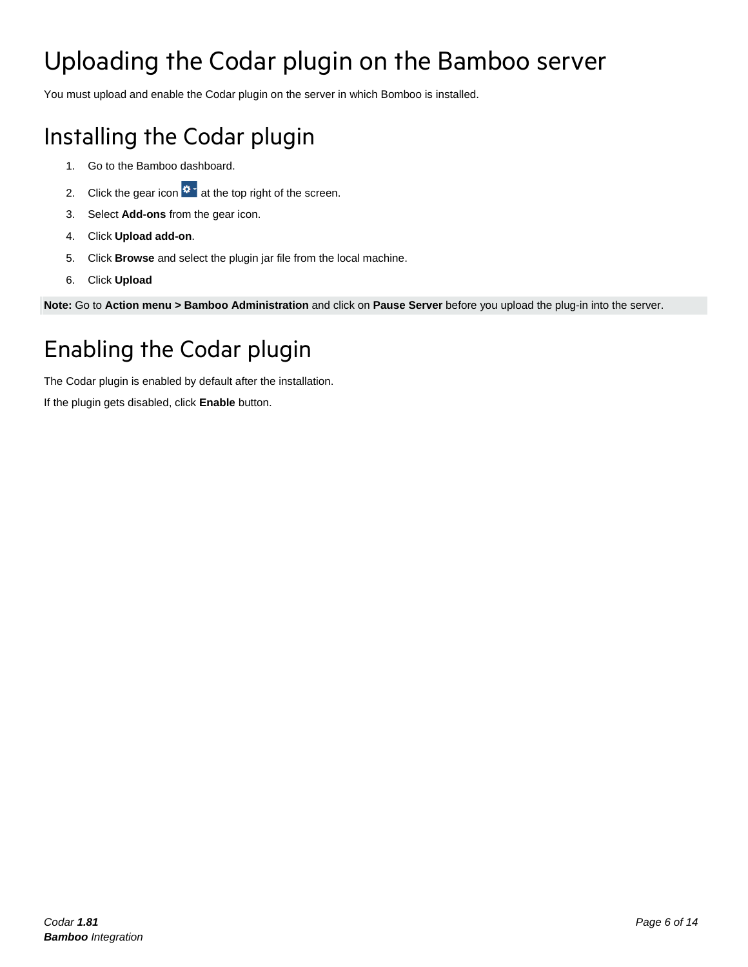# <span id="page-5-0"></span>Uploading the Codar plugin on the Bamboo server

You must upload and enable the Codar plugin on the server in which Bomboo is installed.

### Installing the Codar plugin

- 1. Go to the Bamboo dashboard.
- 2. Click the gear icon  $\mathbf{R} \cdot \mathbf{R}$  at the top right of the screen.
- 3. Select **Add-ons** from the gear icon.
- 4. Click **Upload add-on**.
- 5. Click **Browse** and select the plugin jar file from the local machine.
- 6. Click **Upload**

**Note:** Go to **Action menu > Bamboo Administration** and click on **Pause Server** before you upload the plug-in into the server.

### Enabling the Codar plugin

The Codar plugin is enabled by default after the installation.

If the plugin gets disabled, click **Enable** button.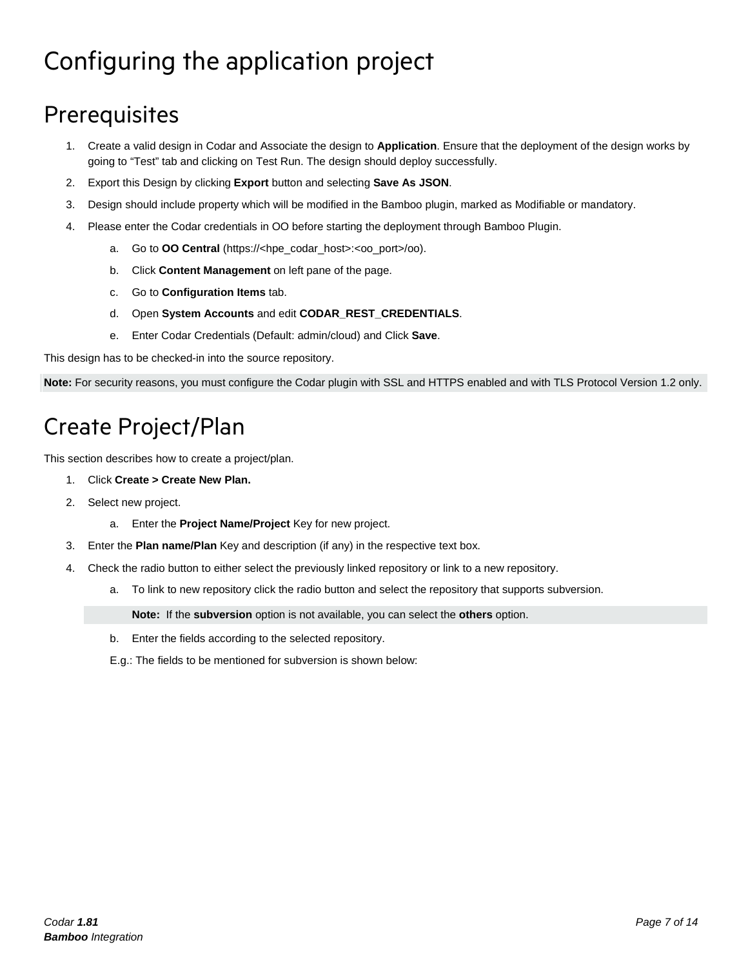# <span id="page-6-0"></span>Configuring the application project

### **Prerequisites**

- 1. Create a valid design in Codar and Associate the design to **Application**. Ensure that the deployment of the design works by going to "Test" tab and clicking on Test Run. The design should deploy successfully.
- 2. Export this Design by clicking **Export** button and selecting **Save As JSON**.
- 3. Design should include property which will be modified in the Bamboo plugin, marked as Modifiable or mandatory.
- 4. Please enter the Codar credentials in OO before starting the deployment through Bamboo Plugin.
	- a. Go to **OO Central** (https://<hpe\_codar\_host>:<oo\_port>/oo).
	- b. Click **Content Management** on left pane of the page.
	- c. Go to **Configuration Items** tab.
	- d. Open **System Accounts** and edit **CODAR\_REST\_CREDENTIALS**.
	- e. Enter Codar Credentials (Default: admin/cloud) and Click **Save**.

This design has to be checked-in into the source repository.

**Note:** For security reasons, you must configure the Codar plugin with SSL and HTTPS enabled and with TLS Protocol Version 1.2 only.

### Create Project/Plan

This section describes how to create a project/plan.

- 1. Click **Create > Create New Plan.**
- 2. Select new project.
	- a. Enter the **Project Name/Project** Key for new project.
- 3. Enter the **Plan name/Plan** Key and description (if any) in the respective text box.
- 4. Check the radio button to either select the previously linked repository or link to a new repository.
	- a. To link to new repository click the radio button and select the repository that supports subversion.

**Note:** If the **subversion** option is not available, you can select the **others** option.

- b. Enter the fields according to the selected repository.
- E.g.: The fields to be mentioned for subversion is shown below: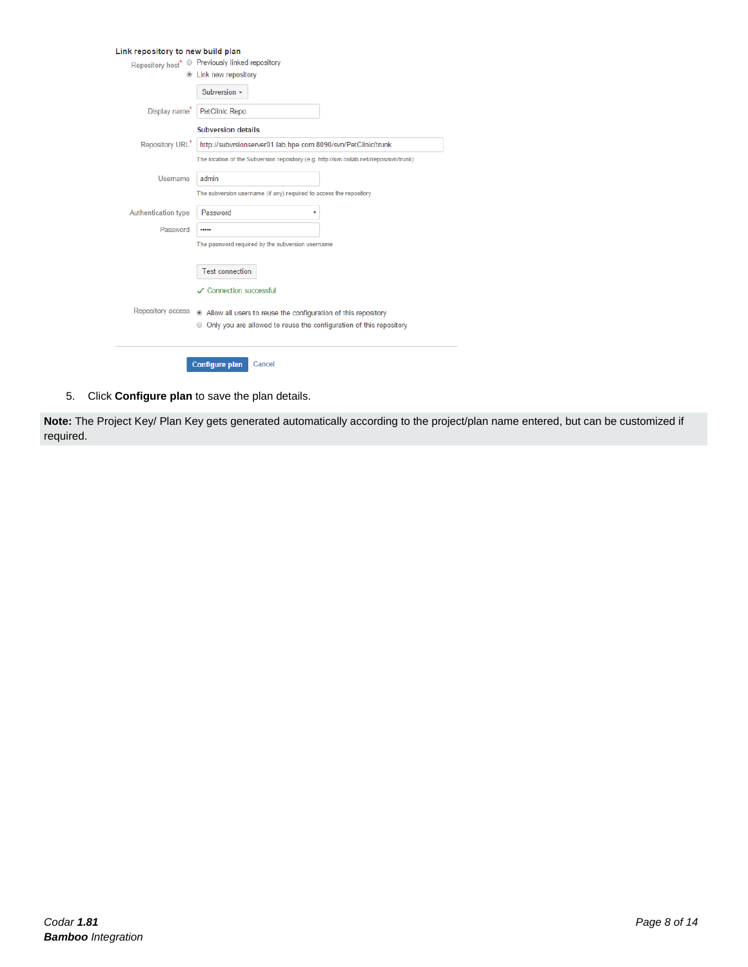| Link repository to new build plan |                                                                                         |
|-----------------------------------|-----------------------------------------------------------------------------------------|
|                                   | Repository host* · Previously linked repository                                         |
|                                   | <b>E</b> Link new repository                                                            |
|                                   | Subversion -                                                                            |
| Display name <sup>*</sup>         | <b>PetClinic Repo</b>                                                                   |
|                                   | <b>Subversion details</b>                                                               |
| Repository URL*                   | http://subvrsionserver01.lab.hpe.com:8090/svn/PetClinic/trunk                           |
|                                   | The location of the Subversion repository (e.g. http://svn.collab.net//repos/svn/trunk) |
| Username                          | admin                                                                                   |
|                                   | The subversion username (if any) required to access the repository                      |
| Authentication type               | Password                                                                                |
| Password                          |                                                                                         |
|                                   | The password required by the subversion username                                        |
|                                   | <b>Test connection</b>                                                                  |
|                                   |                                                                                         |
|                                   | ✓ Connection successful                                                                 |
| <b>Repository access</b>          | Allow all users to reuse the configuration of this repository                           |
|                                   | ● Only you are allowed to reuse the configuration of this repository                    |
|                                   |                                                                                         |
|                                   | <b>Configure plan</b><br>Cancel                                                         |

5. Click **Configure plan** to save the plan details.

**Note:** The Project Key/ Plan Key gets generated automatically according to the project/plan name entered, but can be customized if required.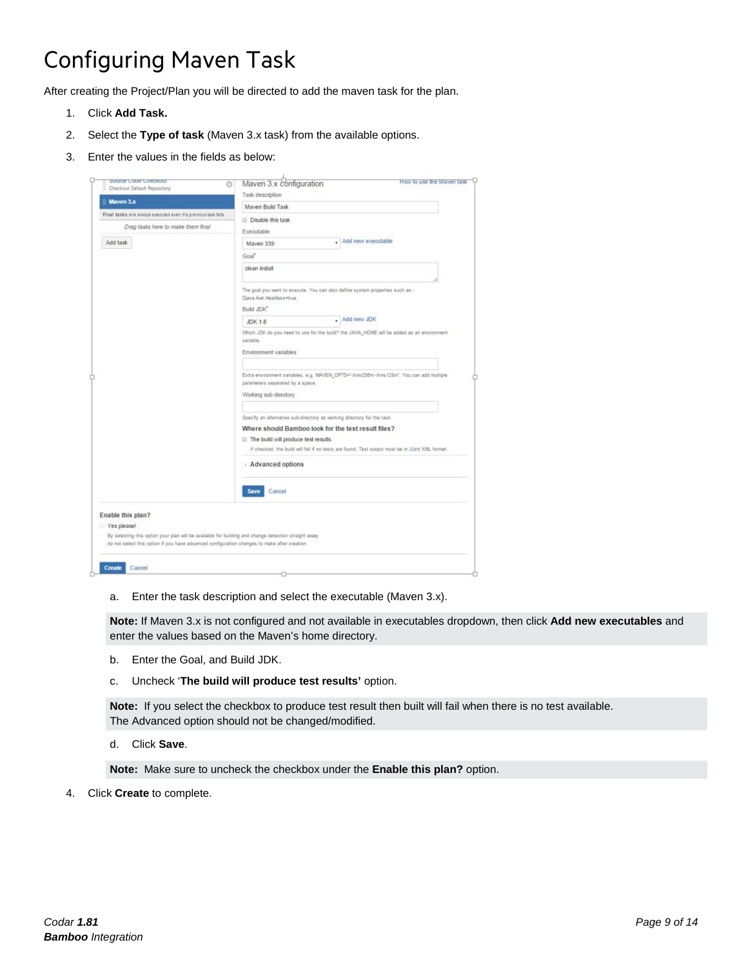### Configuring Maven Task

After creating the Project/Plan you will be directed to add the maven task for the plan.

- 1. Click **Add Task.**
- 2. Select the **Type of task** (Maven 3.x task) from the available options.
- 3. Enter the values in the fields as below:

| Sonica Cona Cuackont<br>O                                                                                                                                                                             | Maven 3.x configuration                                                                                                                                                                                                                                                   | How to use the Mayen task |  |
|-------------------------------------------------------------------------------------------------------------------------------------------------------------------------------------------------------|---------------------------------------------------------------------------------------------------------------------------------------------------------------------------------------------------------------------------------------------------------------------------|---------------------------|--|
| Checkout Default Repository                                                                                                                                                                           | Task description                                                                                                                                                                                                                                                          |                           |  |
| Mayen 3.x                                                                                                                                                                                             | Mayen Build Task                                                                                                                                                                                                                                                          |                           |  |
| Final tasks Are always executed even if a previous task falls.                                                                                                                                        | Disable this task                                                                                                                                                                                                                                                         |                           |  |
| Drag tasks here to make them final                                                                                                                                                                    | Executable                                                                                                                                                                                                                                                                |                           |  |
| Add task                                                                                                                                                                                              | - Add new executable<br>Mayen 339                                                                                                                                                                                                                                         |                           |  |
|                                                                                                                                                                                                       | Goaf                                                                                                                                                                                                                                                                      |                           |  |
|                                                                                                                                                                                                       | clean install                                                                                                                                                                                                                                                             |                           |  |
|                                                                                                                                                                                                       | The goal you want to execute. You can also define system properties such as -<br>Djava.Awt.Headless=true.<br>Build JDK®                                                                                                                                                   |                           |  |
|                                                                                                                                                                                                       | Add new JDK<br>٠.<br><b>JDK 1.8</b>                                                                                                                                                                                                                                       |                           |  |
|                                                                                                                                                                                                       | Which JDK do you need to use for the build? the JAVA_HOME will be added as an environment<br>variable.<br>Environment variables                                                                                                                                           |                           |  |
|                                                                                                                                                                                                       | Extra environment variables: e.g. MAVEN_OPTS="-Xmx256m -Xms128m". You can add multiple<br>parameters separated by a space.<br>Working sub directory                                                                                                                       |                           |  |
|                                                                                                                                                                                                       | Specify an alternative sub-directory as working directory for the task.<br>Where should Bamboo look for the test result files?<br>The build will produce test results.<br>If checked, the build will fail if no tests are found. Test output must be in JUnit XML format. |                           |  |
|                                                                                                                                                                                                       | Advanced options                                                                                                                                                                                                                                                          |                           |  |
|                                                                                                                                                                                                       | Save<br>Cancel                                                                                                                                                                                                                                                            |                           |  |
| Enable this plan?                                                                                                                                                                                     |                                                                                                                                                                                                                                                                           |                           |  |
| Yes please!                                                                                                                                                                                           |                                                                                                                                                                                                                                                                           |                           |  |
| By selecting this option your plan will be available for building and change detection straight away.<br>do not select this option if you have advanced configuration changes to make after creation. |                                                                                                                                                                                                                                                                           |                           |  |
| Create<br>Cancel                                                                                                                                                                                      |                                                                                                                                                                                                                                                                           |                           |  |
|                                                                                                                                                                                                       |                                                                                                                                                                                                                                                                           |                           |  |

a. Enter the task description and select the executable (Maven 3.x).

**Note:** If Maven 3.x is not configured and not available in executables dropdown, then click **Add new executables** and enter the values based on the Maven's home directory.

- b. Enter the Goal, and Build JDK.
- c. Uncheck '**The build will produce test results'** option.

**Note:** If you select the checkbox to produce test result then built will fail when there is no test available. The Advanced option should not be changed/modified.

d. Click **Save**.

**Note:** Make sure to uncheck the checkbox under the **Enable this plan?** option.

4. Click **Create** to complete.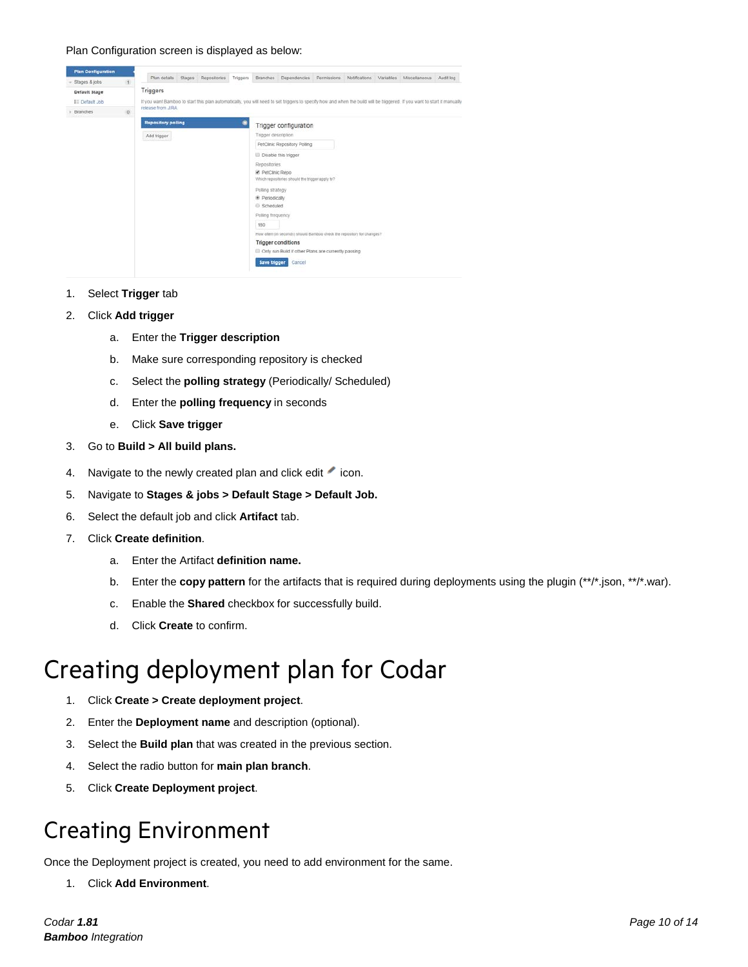#### Plan Configuration screen is displayed as below:



- 1. Select **Trigger** tab
- 2. Click **Add trigger**
	- a. Enter the **Trigger description**
	- b. Make sure corresponding repository is checked
	- c. Select the **polling strategy** (Periodically/ Scheduled)
	- d. Enter the **polling frequency** in seconds
	- e. Click **Save trigger**
- 3. Go to **Build > All build plans.**
- 4. Navigate to the newly created plan and click edit icon.
- 5. Navigate to **Stages & jobs > Default Stage > Default Job.**
- 6. Select the default job and click **Artifact** tab.
- 7. Click **Create definition**.
	- a. Enter the Artifact **definition name.**
	- b. Enter the **copy pattern** for the artifacts that is required during deployments using the plugin (\*\*/\*.json, \*\*/\*.war).
	- c. Enable the **Shared** checkbox for successfully build.
	- d. Click **Create** to confirm.

### <span id="page-9-0"></span>Creating deployment plan for Codar

- 1. Click **Create > Create deployment project**.
- 2. Enter the **Deployment name** and description (optional).
- 3. Select the **Build plan** that was created in the previous section.
- 4. Select the radio button for **main plan branch**.
- 5. Click **Create Deployment project**.

#### Creating Environment

Once the Deployment project is created, you need to add environment for the same.

1. Click **Add Environment**.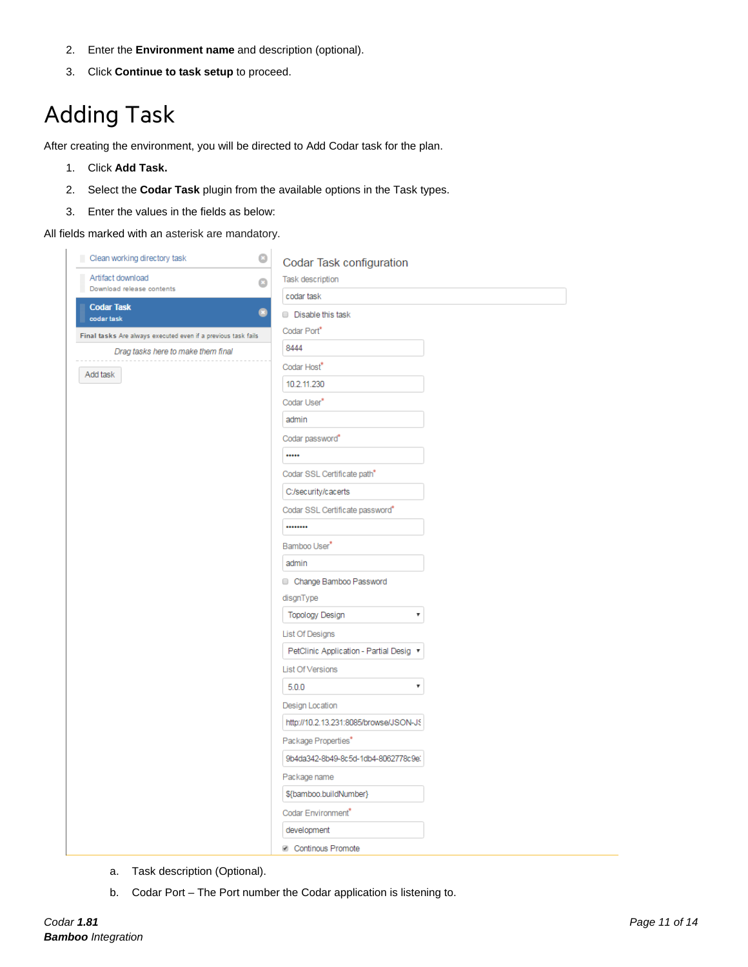- 2. Enter the **Environment name** and description (optional).
- 3. Click **Continue to task setup** to proceed.

### Adding Task

After creating the environment, you will be directed to Add Codar task for the plan.

- 1. Click **Add Task.**
- 2. Select the **Codar Task** plugin from the available options in the Task types.
- 3. Enter the values in the fields as below:

All fields marked with an asterisk are mandatory.

| Clean working directory task                                  | $\ddot{\mathbf{c}}$<br>Codar Task configuration |
|---------------------------------------------------------------|-------------------------------------------------|
| Artifact download                                             | Task description<br>B                           |
| Download release contents                                     | codar task                                      |
| <b>Codar Task</b><br>codar task                               | ◉<br>Disable this task                          |
| Final tasks Are always executed even if a previous task fails | Codar Port                                      |
| Drag tasks here to make them final                            | 8444                                            |
|                                                               | Codar Host"                                     |
| Add task                                                      | 10.2.11.230                                     |
|                                                               | Codar User*                                     |
|                                                               | admin                                           |
|                                                               | Codar password*                                 |
|                                                               |                                                 |
|                                                               | Codar SSL Certificate path <sup>*</sup>         |
|                                                               | C:/security/cacerts                             |
|                                                               | Codar SSL Certificate password"                 |
|                                                               |                                                 |
|                                                               | Bamboo User <sup>*</sup>                        |
|                                                               | admin                                           |
|                                                               | Change Bamboo Password                          |
|                                                               | disgnType                                       |
|                                                               | <b>Topology Design</b><br>۳                     |
|                                                               | <b>List Of Designs</b>                          |
|                                                               | PetClinic Application - Partial Desig ▼         |
|                                                               | <b>List Of Versions</b>                         |
|                                                               | 5.0.0<br>$\overline{\mathbf{v}}$                |
|                                                               | Design Location                                 |
|                                                               | http://10.2.13.231:8085/browse/JSON-JS          |
|                                                               | Package Properties*                             |
|                                                               | 9b4da342-8b49-8c5d-1db4-8062778c9e.             |
|                                                               | Package name                                    |
|                                                               | \${bamboo.buildNumber}                          |
|                                                               | Codar Environment"                              |
|                                                               | development                                     |
|                                                               | <b>Di Continguis Promote</b>                    |

- a. Task description (Optional).
- b. Codar Port The Port number the Codar application is listening to.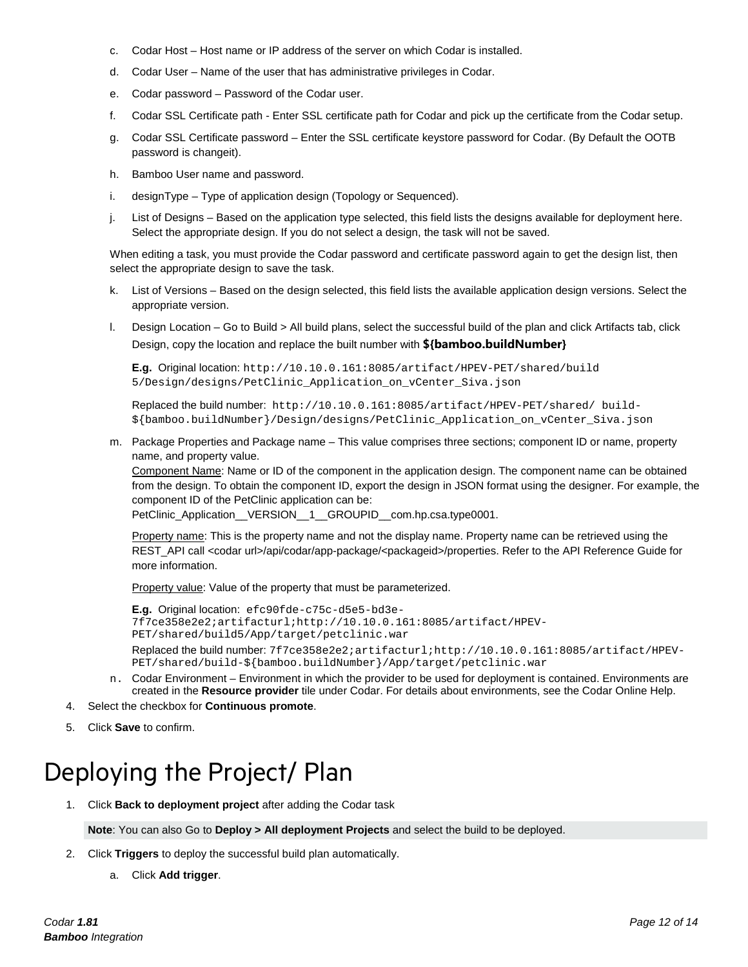- c. Codar Host Host name or IP address of the server on which Codar is installed.
- d. Codar User Name of the user that has administrative privileges in Codar.
- e. Codar password Password of the Codar user.
- f. Codar SSL Certificate path Enter SSL certificate path for Codar and pick up the certificate from the Codar setup.
- g. Codar SSL Certificate password Enter the SSL certificate keystore password for Codar. (By Default the OOTB password is changeit).
- h. Bamboo User name and password.
- i. designType Type of application design (Topology or Sequenced).
- j. List of Designs Based on the application type selected, this field lists the designs available for deployment here. Select the appropriate design. If you do not select a design, the task will not be saved.

When editing a task, you must provide the Codar password and certificate password again to get the design list, then select the appropriate design to save the task.

- k. List of Versions Based on the design selected, this field lists the available application design versions. Select the appropriate version.
- l. Design Location Go to Build > All build plans, select the successful build of the plan and click Artifacts tab, click Design, copy the location and replace the built number with **\${bamboo.buildNumber}**

**E.g.** Original location: [http://10.10.0.161:8085/artifact/HPEV-PET/shared/build](http://10.10.0.161:8085/artifact/HPEV-PET/shared/build%205/Design/designs/PetClinic_Application_on_vCenter_Siva.json)  [5/Design/designs/PetClinic\\_Application\\_on\\_vCenter\\_Siva.json](http://10.10.0.161:8085/artifact/HPEV-PET/shared/build%205/Design/designs/PetClinic_Application_on_vCenter_Siva.json)

Replaced the build number: [http://10.10.0.161:8085/artifact/HPEV-PET/shared/](http://10.10.0.161:8085/artifact/HPEV-PET/shared/build) build- [\\${bamboo.buildNumber}/](http://10.10.0.161:8085/artifact/HPEV-PET/shared/build)Design/designs/PetClinic\_Application\_on\_vCenter\_Siva.json

m. Package Properties and Package name – This value comprises three sections; component ID or name, property name, and property value.

Component Name: Name or ID of the component in the application design. The component name can be obtained from the design. To obtain the component ID, export the design in JSON format using the designer. For example, the component ID of the PetClinic application can be:

PetClinic\_Application\_\_VERSION\_\_1\_\_GROUPID\_\_com.hp.csa.type0001.

Property name: This is the property name and not the display name. Property name can be retrieved using the REST\_API call <codar url>/api/codar/app-package/<packageid>/properties. Refer to the API Reference Guide for more information.

Property value: Value of the property that must be parameterized.

```
E.g. Original location: efc90fde-c75c-d5e5-bd3e-
7f7ce358e2e2;artifacturl;http://10.10.0.161:8085/artifact/HPEV-
PET/shared/build5/App/target/petclinic.war
Replaced the build number: 7f7ce358e2e2;artifacturl;http://10.10.0.161:8085/artifact/HPEV-
PET/shared/build-${bamboo.buildNumber}/App/target/petclinic.war
```
- n. Codar Environment Environment in which the provider to be used for deployment is contained. Environments are created in the **Resource provider** tile under Codar. For details about environments, see the Codar Online Help.
- 4. Select the checkbox for **Continuous promote**.
- 5. Click **Save** to confirm.

### <span id="page-11-0"></span>Deploying the Project/ Plan

1. Click **Back to deployment project** after adding the Codar task

**Note**: You can also Go to **Deploy > All deployment Projects** and select the build to be deployed.

- 2. Click **Triggers** to deploy the successful build plan automatically.
	- a. Click **Add trigger**.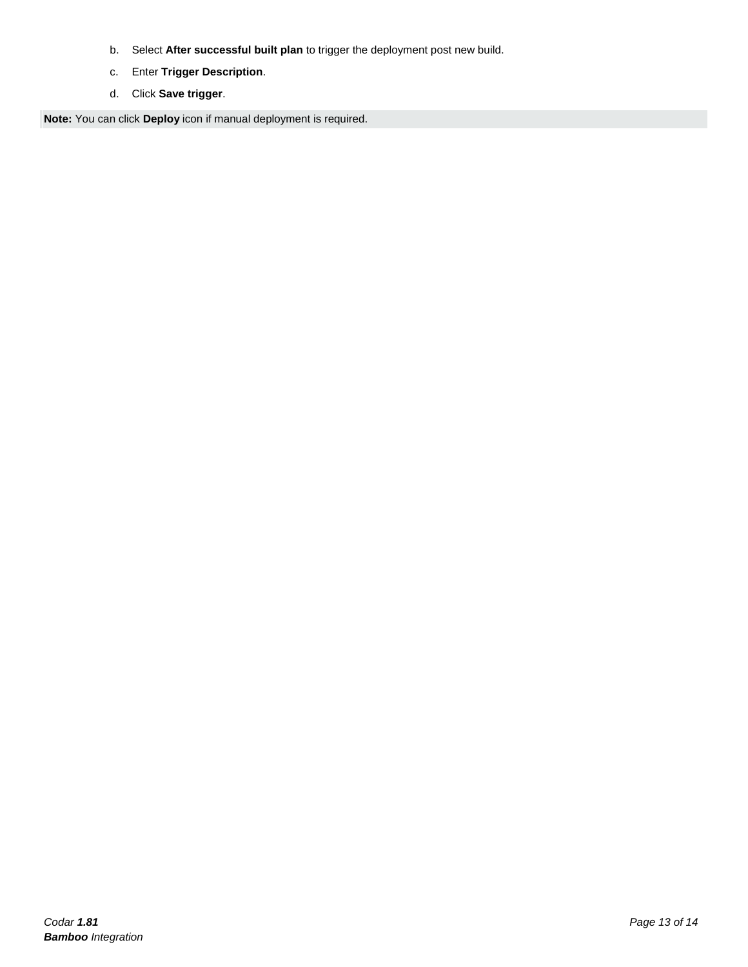- b. Select **After successful built plan** to trigger the deployment post new build.
- c. Enter **Trigger Description**.
- d. Click **Save trigger**.

**Note:** You can click **Deploy** icon if manual deployment is required.